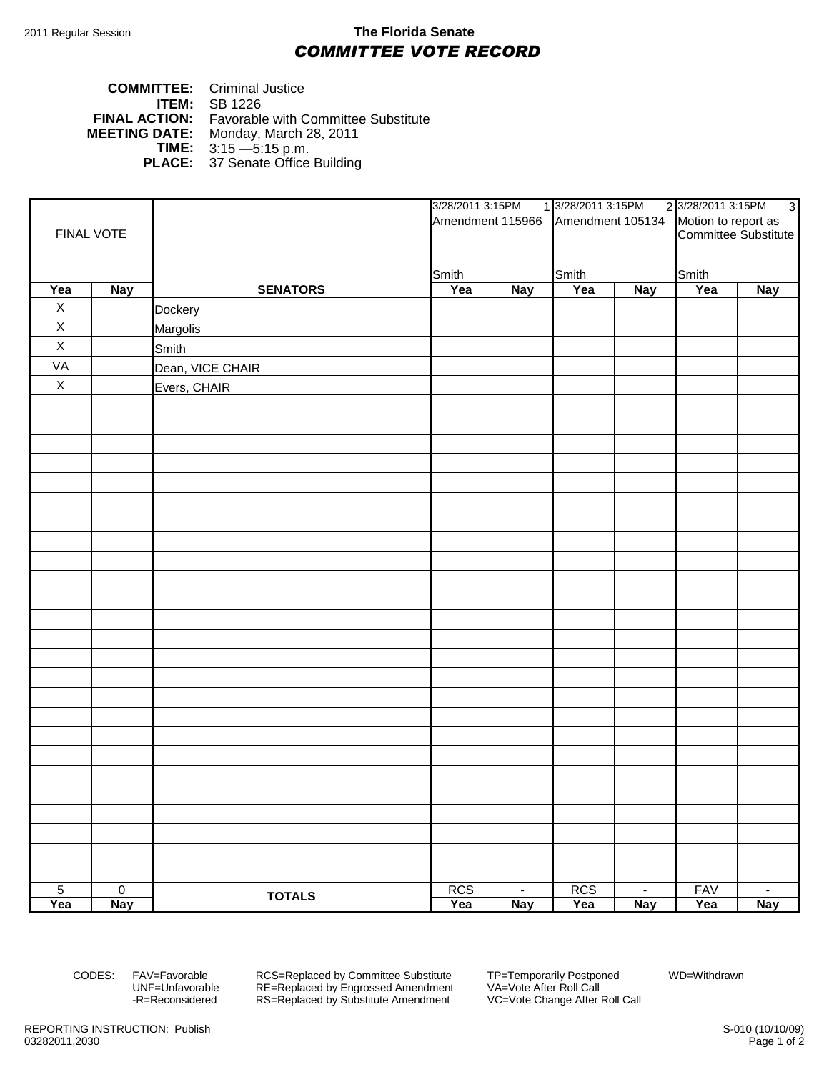## 2011 Regular Session **The Florida Senate** *COMMITTEE VOTE RECORD*

## **COMMITTEE:** Criminal Justice **ITEM:** SB 1226 **FINAL ACTION:** Favorable with Committee Substitute **MEETING DATE:** Monday, March 28, 2011 **DATE:** Monday, March 28, 2011<br>**TIME:** 3:15 - 5:15 p.m. **TIME:** 3:15 —5:15 p.m. **PLACE:** 37 Senate Office Building

| FINAL VOTE     |                |                  | 3/28/2011 3:15PM |                | 1 3/28/2011 3:15PM                |            | 2 3/28/2011 3:15PM<br>3                     |            |
|----------------|----------------|------------------|------------------|----------------|-----------------------------------|------------|---------------------------------------------|------------|
|                |                |                  |                  |                | Amendment 115966 Amendment 105134 |            | Motion to report as<br>Committee Substitute |            |
|                |                |                  |                  |                |                                   |            |                                             |            |
|                |                |                  |                  |                |                                   |            |                                             |            |
|                |                |                  | Smith            |                | Smith                             |            | Smith                                       |            |
| Yea            | <b>Nay</b>     | <b>SENATORS</b>  | Yea              | <b>Nay</b>     | Yea                               | <b>Nay</b> | Yea                                         | <b>Nay</b> |
| $\mathsf X$    |                | <b>Dockery</b>   |                  |                |                                   |            |                                             |            |
| $\mathsf X$    |                | Margolis         |                  |                |                                   |            |                                             |            |
| $\mathsf X$    |                | Smith            |                  |                |                                   |            |                                             |            |
| VA             |                | Dean, VICE CHAIR |                  |                |                                   |            |                                             |            |
| $\mathsf X$    |                | Evers, CHAIR     |                  |                |                                   |            |                                             |            |
|                |                |                  |                  |                |                                   |            |                                             |            |
|                |                |                  |                  |                |                                   |            |                                             |            |
|                |                |                  |                  |                |                                   |            |                                             |            |
|                |                |                  |                  |                |                                   |            |                                             |            |
|                |                |                  |                  |                |                                   |            |                                             |            |
|                |                |                  |                  |                |                                   |            |                                             |            |
|                |                |                  |                  |                |                                   |            |                                             |            |
|                |                |                  |                  |                |                                   |            |                                             |            |
|                |                |                  |                  |                |                                   |            |                                             |            |
|                |                |                  |                  |                |                                   |            |                                             |            |
|                |                |                  |                  |                |                                   |            |                                             |            |
|                |                |                  |                  |                |                                   |            |                                             |            |
|                |                |                  |                  |                |                                   |            |                                             |            |
|                |                |                  |                  |                |                                   |            |                                             |            |
|                |                |                  |                  |                |                                   |            |                                             |            |
|                |                |                  |                  |                |                                   |            |                                             |            |
|                |                |                  |                  |                |                                   |            |                                             |            |
|                |                |                  |                  |                |                                   |            |                                             |            |
|                |                |                  |                  |                |                                   |            |                                             |            |
|                |                |                  |                  |                |                                   |            |                                             |            |
|                |                |                  |                  |                |                                   |            |                                             |            |
|                |                |                  |                  |                |                                   |            |                                             |            |
|                |                |                  |                  |                |                                   |            |                                             |            |
|                |                |                  |                  |                |                                   |            |                                             |            |
|                |                |                  |                  |                |                                   |            |                                             |            |
| $\overline{5}$ | $\overline{0}$ | <b>TOTALS</b>    | <b>RCS</b>       | $\blacksquare$ | <b>RCS</b>                        | $\sim$     | <b>FAV</b>                                  | $\sim$     |
| Yea            | <b>Nay</b>     |                  | Yea              | <b>Nay</b>     | Yea                               | <b>Nay</b> | Yea                                         | <b>Nay</b> |

CODES: FAV=Favorable RCS=Replaced by Committee Substitute TP=Temporarily Postponed WD=Withdrawn<br>UNF=Unfavorable RE=Replaced by Engrossed Amendment VA=Vote After Roll Call UNF=Unfavorable RE=Replaced by Engrossed Amendment<br>-R=Reconsidered RS=Replaced by Substitute Amendment RS=Replaced by Substitute Amendment VC=Vote Change After Roll Call